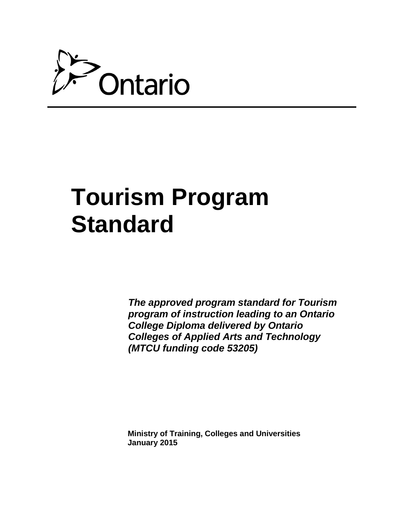

# **Tourism Program Standard**

*The approved program standard for Tourism program of instruction leading to an Ontario College Diploma delivered by Ontario Colleges of Applied Arts and Technology (MTCU funding code 53205)* 

**Ministry of Training, Colleges and Universities January 2015**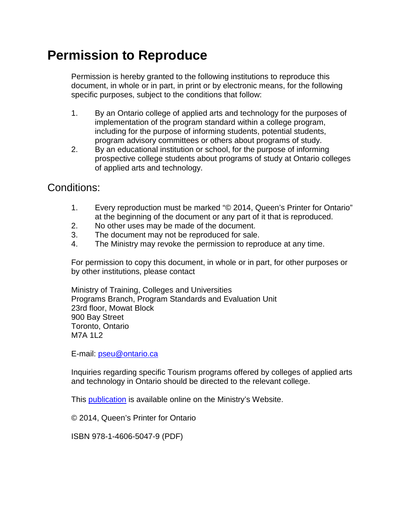# **Permission to Reproduce**

Permission is hereby granted to the following institutions to reproduce this document, in whole or in part, in print or by electronic means, for the following specific purposes, subject to the conditions that follow:

- 1. By an Ontario college of applied arts and technology for the purposes of implementation of the program standard within a college program, including for the purpose of informing students, potential students, program advisory committees or others about programs of study.
- 2. By an educational institution or school, for the purpose of informing prospective college students about programs of study at Ontario colleges of applied arts and technology.

Conditions:

- 1. Every reproduction must be marked "© 2014, Queen's Printer for Ontario" at the beginning of the document or any part of it that is reproduced.
- 2. No other uses may be made of the document.
- 3. The document may not be reproduced for sale.
- 4. The Ministry may revoke the permission to reproduce at any time.

For permission to copy this document, in whole or in part, for other purposes or by other institutions, please contact

Ministry of Training, Colleges and Universities Programs Branch, Program Standards and Evaluation Unit 23rd floor, Mowat Block 900 Bay Street Toronto, Ontario M7A 1I 2

E-mail: [pseu@ontario.ca](mailto:pseu@ontario.ca)

Inquiries regarding specific Tourism programs offered by colleges of applied arts and technology in Ontario should be directed to the relevant college.

This [publication](http://www.tcu.gov.on.ca/) is available online on the Ministry's Website.

© 2014, Queen's Printer for Ontario

ISBN 978-1-4606-5047-9 (PDF)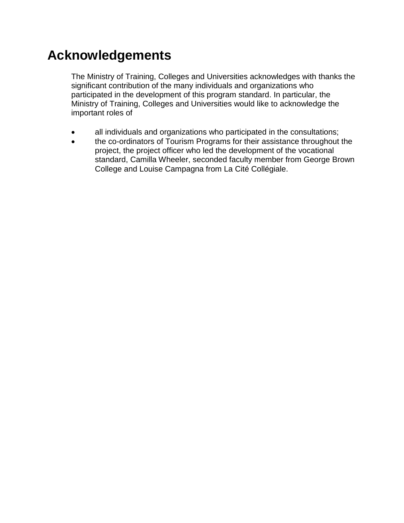# **Acknowledgements**

The Ministry of Training, Colleges and Universities acknowledges with thanks the significant contribution of the many individuals and organizations who participated in the development of this program standard. In particular, the Ministry of Training, Colleges and Universities would like to acknowledge the important roles of

- all individuals and organizations who participated in the consultations;
- the co-ordinators of Tourism Programs for their assistance throughout the project, the project officer who led the development of the vocational standard, Camilla Wheeler, seconded faculty member from George Brown College and Louise Campagna from La Cité Collégiale.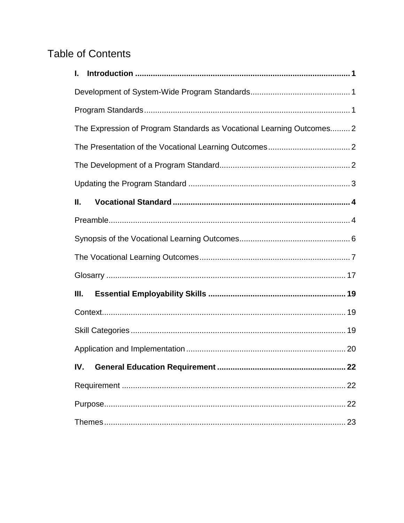# **Table of Contents**

| L.                                                                    |  |  |  |
|-----------------------------------------------------------------------|--|--|--|
|                                                                       |  |  |  |
|                                                                       |  |  |  |
| The Expression of Program Standards as Vocational Learning Outcomes 2 |  |  |  |
|                                                                       |  |  |  |
|                                                                       |  |  |  |
|                                                                       |  |  |  |
| Ⅱ.                                                                    |  |  |  |
|                                                                       |  |  |  |
|                                                                       |  |  |  |
|                                                                       |  |  |  |
|                                                                       |  |  |  |
| III.                                                                  |  |  |  |
|                                                                       |  |  |  |
|                                                                       |  |  |  |
|                                                                       |  |  |  |
|                                                                       |  |  |  |
|                                                                       |  |  |  |
|                                                                       |  |  |  |
|                                                                       |  |  |  |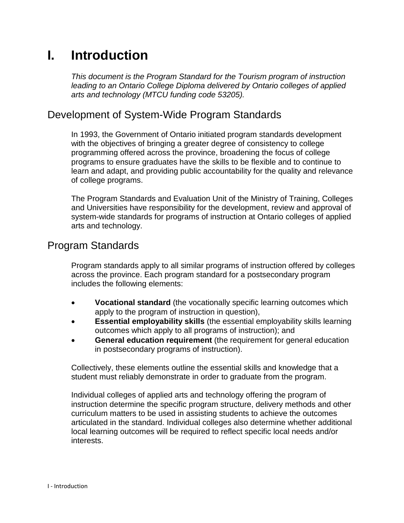# <span id="page-4-0"></span>**I. Introduction**

*This document is the Program Standard for the Tourism program of instruction leading to an Ontario College Diploma delivered by Ontario colleges of applied arts and technology (MTCU funding code 53205).*

# <span id="page-4-1"></span>Development of System-Wide Program Standards

In 1993, the Government of Ontario initiated program standards development with the objectives of bringing a greater degree of consistency to college programming offered across the province, broadening the focus of college programs to ensure graduates have the skills to be flexible and to continue to learn and adapt, and providing public accountability for the quality and relevance of college programs.

The Program Standards and Evaluation Unit of the Ministry of Training, Colleges and Universities have responsibility for the development, review and approval of system-wide standards for programs of instruction at Ontario colleges of applied arts and technology.

# <span id="page-4-2"></span>Program Standards

Program standards apply to all similar programs of instruction offered by colleges across the province. Each program standard for a postsecondary program includes the following elements:

- **Vocational standard** (the vocationally specific learning outcomes which apply to the program of instruction in question),
- **Essential employability skills** (the essential employability skills learning outcomes which apply to all programs of instruction); and
- **General education requirement** (the requirement for general education in postsecondary programs of instruction).

Collectively, these elements outline the essential skills and knowledge that a student must reliably demonstrate in order to graduate from the program.

Individual colleges of applied arts and technology offering the program of instruction determine the specific program structure, delivery methods and other curriculum matters to be used in assisting students to achieve the outcomes articulated in the standard. Individual colleges also determine whether additional local learning outcomes will be required to reflect specific local needs and/or interests.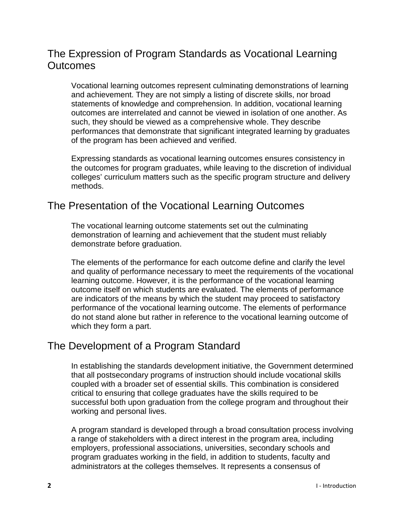# <span id="page-5-0"></span>The Expression of Program Standards as Vocational Learning **Outcomes**

Vocational learning outcomes represent culminating demonstrations of learning and achievement. They are not simply a listing of discrete skills, nor broad statements of knowledge and comprehension. In addition, vocational learning outcomes are interrelated and cannot be viewed in isolation of one another. As such, they should be viewed as a comprehensive whole. They describe performances that demonstrate that significant integrated learning by graduates of the program has been achieved and verified.

Expressing standards as vocational learning outcomes ensures consistency in the outcomes for program graduates, while leaving to the discretion of individual colleges' curriculum matters such as the specific program structure and delivery methods.

# <span id="page-5-1"></span>The Presentation of the Vocational Learning Outcomes

The vocational learning outcome statements set out the culminating demonstration of learning and achievement that the student must reliably demonstrate before graduation.

The elements of the performance for each outcome define and clarify the level and quality of performance necessary to meet the requirements of the vocational learning outcome. However, it is the performance of the vocational learning outcome itself on which students are evaluated. The elements of performance are indicators of the means by which the student may proceed to satisfactory performance of the vocational learning outcome. The elements of performance do not stand alone but rather in reference to the vocational learning outcome of which they form a part.

# <span id="page-5-2"></span>The Development of a Program Standard

In establishing the standards development initiative, the Government determined that all postsecondary programs of instruction should include vocational skills coupled with a broader set of essential skills. This combination is considered critical to ensuring that college graduates have the skills required to be successful both upon graduation from the college program and throughout their working and personal lives.

A program standard is developed through a broad consultation process involving a range of stakeholders with a direct interest in the program area, including employers, professional associations, universities, secondary schools and program graduates working in the field, in addition to students, faculty and administrators at the colleges themselves. It represents a consensus of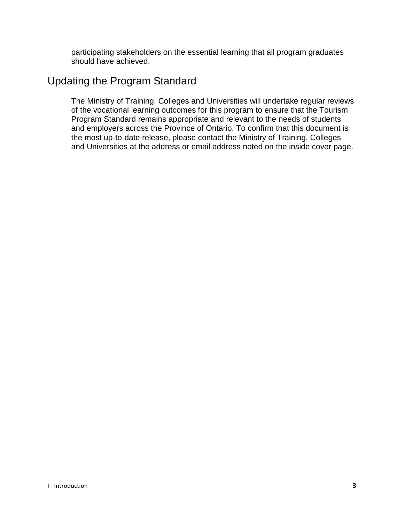participating stakeholders on the essential learning that all program graduates should have achieved.

### <span id="page-6-0"></span>Updating the Program Standard

The Ministry of Training, Colleges and Universities will undertake regular reviews of the vocational learning outcomes for this program to ensure that the Tourism Program Standard remains appropriate and relevant to the needs of students and employers across the Province of Ontario. To confirm that this document is the most up-to-date release, please contact the Ministry of Training, Colleges and Universities at the address or email address noted on the inside cover page.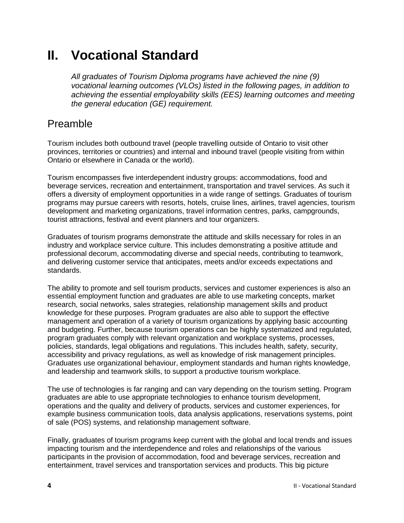# <span id="page-7-0"></span>**II. Vocational Standard**

*All graduates of Tourism Diploma programs have achieved the nine (9) vocational learning outcomes (VLOs) listed in the following pages, in addition to achieving the essential employability skills (EES) learning outcomes and meeting the general education (GE) requirement.*

# <span id="page-7-1"></span>Preamble

Tourism includes both outbound travel (people travelling outside of Ontario to visit other provinces, territories or countries) and internal and inbound travel (people visiting from within Ontario or elsewhere in Canada or the world).

Tourism encompasses five interdependent industry groups: accommodations, food and beverage services, recreation and entertainment, transportation and travel services. As such it offers a diversity of employment opportunities in a wide range of settings. Graduates of tourism programs may pursue careers with resorts, hotels, cruise lines, airlines, travel agencies, tourism development and marketing organizations, travel information centres, parks, campgrounds, tourist attractions, festival and event planners and tour organizers.

Graduates of tourism programs demonstrate the attitude and skills necessary for roles in an industry and workplace service culture. This includes demonstrating a positive attitude and professional decorum, accommodating diverse and special needs, contributing to teamwork, and delivering customer service that anticipates, meets and/or exceeds expectations and standards.

The ability to promote and sell tourism products, services and customer experiences is also an essential employment function and graduates are able to use marketing concepts, market research, social networks, sales strategies, relationship management skills and product knowledge for these purposes. Program graduates are also able to support the effective management and operation of a variety of tourism organizations by applying basic accounting and budgeting. Further, because tourism operations can be highly systematized and regulated, program graduates comply with relevant organization and workplace systems, processes, policies, standards, legal obligations and regulations. This includes health, safety, security, accessibility and privacy regulations, as well as knowledge of risk management principles. Graduates use organizational behaviour, employment standards and human rights knowledge, and leadership and teamwork skills, to support a productive tourism workplace.

The use of technologies is far ranging and can vary depending on the tourism setting. Program graduates are able to use appropriate technologies to enhance tourism development, operations and the quality and delivery of products, services and customer experiences, for example business communication tools, data analysis applications, reservations systems, point of sale (POS) systems, and relationship management software.

Finally, graduates of tourism programs keep current with the global and local trends and issues impacting tourism and the interdependence and roles and relationships of the various participants in the provision of accommodation, food and beverage services, recreation and entertainment, travel services and transportation services and products. This big picture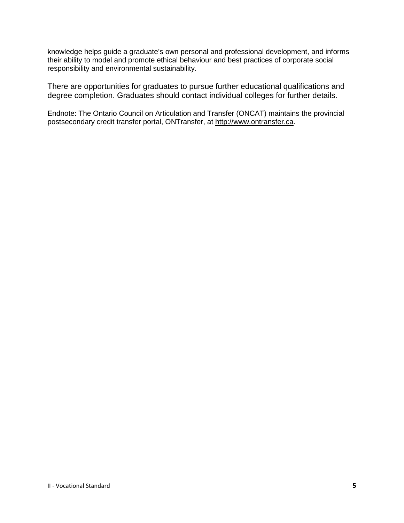knowledge helps guide a graduate's own personal and professional development, and informs their ability to model and promote ethical behaviour and best practices of corporate social responsibility and environmental sustainability.

There are opportunities for graduates to pursue further educational qualifications and degree completion. Graduates should contact individual colleges for further details.

Endnote: The Ontario Council on Articulation and Transfer (ONCAT) maintains the provincial postsecondary credit transfer portal, ONTransfer, at [http://www.ontransfer.ca.](https://webmail.ontario.ca/owa/redir.aspx?C=bAELs0ShY0ef9YzRsLnvxa1-W3oE7s8I2khsf2rbL-3iCnNkrA3pTqoRkkA35tJDrxVzTztjr3Y.&URL=http%3a%2f%2fwww.ontransfer.ca)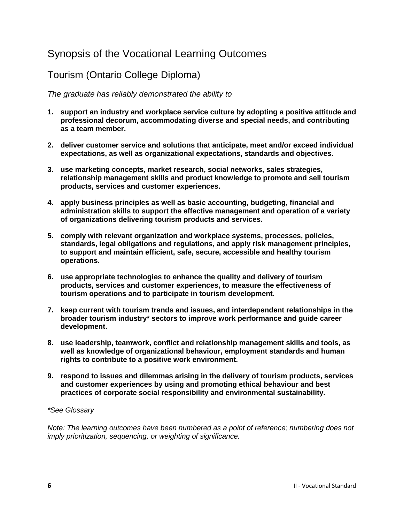# <span id="page-9-0"></span>Synopsis of the Vocational Learning Outcomes

### Tourism (Ontario College Diploma)

#### *The graduate has reliably demonstrated the ability to*

- **1. support an industry and workplace service culture by adopting a positive attitude and professional decorum, accommodating diverse and special needs, and contributing as a team member.**
- **2. deliver customer service and solutions that anticipate, meet and/or exceed individual expectations, as well as organizational expectations, standards and objectives.**
- **3. use marketing concepts, market research, social networks, sales strategies, relationship management skills and product knowledge to promote and sell tourism products, services and customer experiences.**
- **4. apply business principles as well as basic accounting, budgeting, financial and administration skills to support the effective management and operation of a variety of organizations delivering tourism products and services.**
- **5. comply with relevant organization and workplace systems, processes, policies, standards, legal obligations and regulations, and apply risk management principles, to support and maintain efficient, safe, secure, accessible and healthy tourism operations.**
- **6. use appropriate technologies to enhance the quality and delivery of tourism products, services and customer experiences, to measure the effectiveness of tourism operations and to participate in tourism development.**
- **7. keep current with tourism trends and issues, and interdependent relationships in the broader tourism industry\* sectors to improve work performance and guide career development.**
- **8. use leadership, teamwork, conflict and relationship management skills and tools, as well as knowledge of organizational behaviour, employment standards and human rights to contribute to a positive work environment.**
- **9. respond to issues and dilemmas arising in the delivery of tourism products, services and customer experiences by using and promoting ethical behaviour and best practices of corporate social responsibility and environmental sustainability.**

#### *\*See Glossary*

*Note: The learning outcomes have been numbered as a point of reference; numbering does not imply prioritization, sequencing, or weighting of significance.*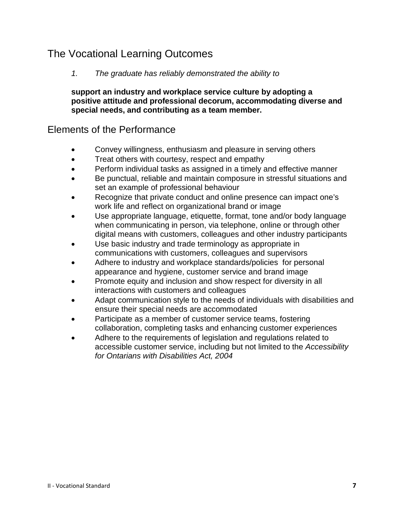# <span id="page-10-0"></span>The Vocational Learning Outcomes

#### *1. The graduate has reliably demonstrated the ability to*

**support an industry and workplace service culture by adopting a positive attitude and professional decorum, accommodating diverse and special needs, and contributing as a team member.** 

- Convey willingness, enthusiasm and pleasure in serving others
- Treat others with courtesy, respect and empathy
- Perform individual tasks as assigned in a timely and effective manner
- Be punctual, reliable and maintain composure in stressful situations and set an example of professional behaviour
- Recognize that private conduct and online presence can impact one's work life and reflect on organizational brand or image
- Use appropriate language, etiquette, format, tone and/or body language when communicating in person, via telephone, online or through other digital means with customers, colleagues and other industry participants
- Use basic industry and trade terminology as appropriate in communications with customers, colleagues and supervisors
- Adhere to industry and workplace standards/policies for personal appearance and hygiene, customer service and brand image
- Promote equity and inclusion and show respect for diversity in all interactions with customers and colleagues
- Adapt communication style to the needs of individuals with disabilities and ensure their special needs are accommodated
- Participate as a member of customer service teams, fostering collaboration, completing tasks and enhancing customer experiences
- Adhere to the requirements of legislation and regulations related to accessible customer service, including but not limited to the *Accessibility for Ontarians with Disabilities Act, 2004*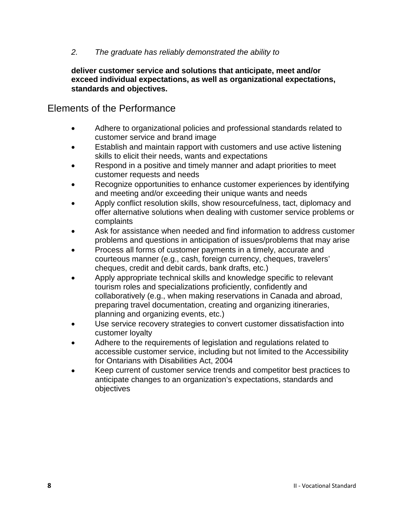**deliver customer service and solutions that anticipate, meet and/or exceed individual expectations, as well as organizational expectations, standards and objectives.**

- Adhere to organizational policies and professional standards related to customer service and brand image
- Establish and maintain rapport with customers and use active listening skills to elicit their needs, wants and expectations
- Respond in a positive and timely manner and adapt priorities to meet customer requests and needs
- Recognize opportunities to enhance customer experiences by identifying and meeting and/or exceeding their unique wants and needs
- Apply conflict resolution skills, show resourcefulness, tact, diplomacy and offer alternative solutions when dealing with customer service problems or complaints
- Ask for assistance when needed and find information to address customer problems and questions in anticipation of issues/problems that may arise
- Process all forms of customer payments in a timely, accurate and courteous manner (e.g., cash, foreign currency, cheques, travelers' cheques, credit and debit cards, bank drafts, etc.)
- Apply appropriate technical skills and knowledge specific to relevant tourism roles and specializations proficiently, confidently and collaboratively (e.g., when making reservations in Canada and abroad, preparing travel documentation, creating and organizing itineraries, planning and organizing events, etc.)
- Use service recovery strategies to convert customer dissatisfaction into customer loyalty
- Adhere to the requirements of legislation and regulations related to accessible customer service, including but not limited to the Accessibility for Ontarians with Disabilities Act, 2004
- Keep current of customer service trends and competitor best practices to anticipate changes to an organization's expectations, standards and objectives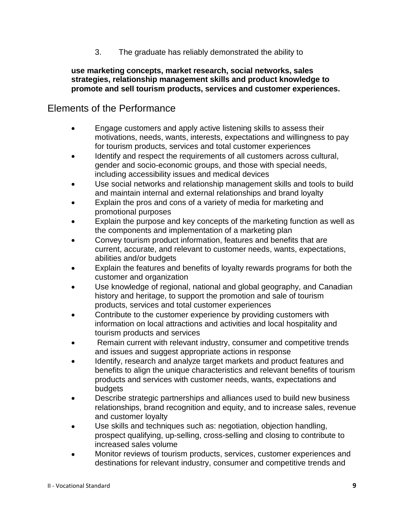#### **use marketing concepts, market research, social networks, sales strategies, relationship management skills and product knowledge to promote and sell tourism products, services and customer experiences.**

- Engage customers and apply active listening skills to assess their motivations, needs, wants, interests, expectations and willingness to pay for tourism products, services and total customer experiences
- Identify and respect the requirements of all customers across cultural, gender and socio-economic groups, and those with special needs, including accessibility issues and medical devices
- Use social networks and relationship management skills and tools to build and maintain internal and external relationships and brand loyalty
- Explain the pros and cons of a variety of media for marketing and promotional purposes
- Explain the purpose and key concepts of the marketing function as well as the components and implementation of a marketing plan
- Convey tourism product information, features and benefits that are current, accurate, and relevant to customer needs, wants, expectations, abilities and/or budgets
- Explain the features and benefits of loyalty rewards programs for both the customer and organization
- Use knowledge of regional, national and global geography, and Canadian history and heritage, to support the promotion and sale of tourism products, services and total customer experiences
- Contribute to the customer experience by providing customers with information on local attractions and activities and local hospitality and tourism products and services
- Remain current with relevant industry, consumer and competitive trends and issues and suggest appropriate actions in response
- Identify, research and analyze target markets and product features and benefits to align the unique characteristics and relevant benefits of tourism products and services with customer needs, wants, expectations and budgets
- Describe strategic partnerships and alliances used to build new business relationships, brand recognition and equity, and to increase sales, revenue and customer loyalty
- Use skills and techniques such as: negotiation, objection handling, prospect qualifying, up-selling, cross-selling and closing to contribute to increased sales volume
- Monitor reviews of tourism products, services, customer experiences and destinations for relevant industry, consumer and competitive trends and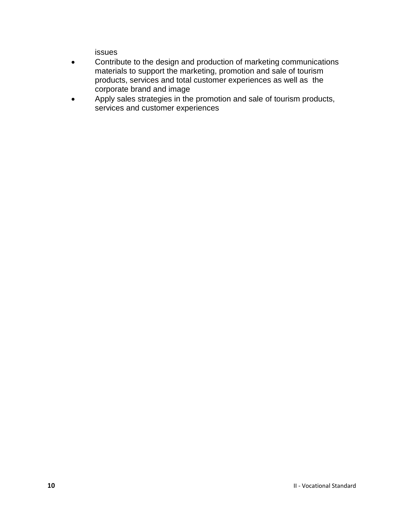issues

- Contribute to the design and production of marketing communications materials to support the marketing, promotion and sale of tourism products, services and total customer experiences as well as the corporate brand and image
- Apply sales strategies in the promotion and sale of tourism products, services and customer experiences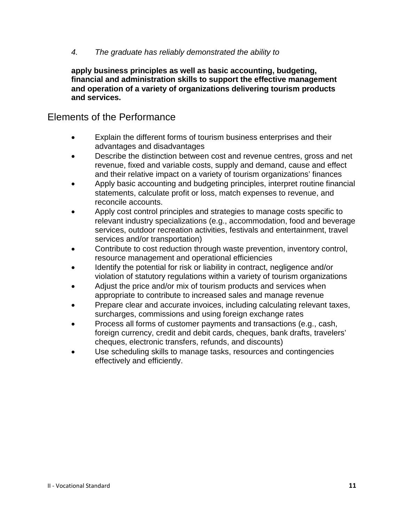**apply business principles as well as basic accounting, budgeting, financial and administration skills to support the effective management and operation of a variety of organizations delivering tourism products and services.**

- Explain the different forms of tourism business enterprises and their advantages and disadvantages
- Describe the distinction between cost and revenue centres, gross and net revenue, fixed and variable costs, supply and demand, cause and effect and their relative impact on a variety of tourism organizations' finances
- Apply basic accounting and budgeting principles, interpret routine financial statements, calculate profit or loss, match expenses to revenue, and reconcile accounts.
- Apply cost control principles and strategies to manage costs specific to relevant industry specializations (e.g., accommodation, food and beverage services, outdoor recreation activities, festivals and entertainment, travel services and/or transportation)
- Contribute to cost reduction through waste prevention, inventory control, resource management and operational efficiencies
- Identify the potential for risk or liability in contract, negligence and/or violation of statutory regulations within a variety of tourism organizations
- Adjust the price and/or mix of tourism products and services when appropriate to contribute to increased sales and manage revenue
- Prepare clear and accurate invoices, including calculating relevant taxes, surcharges, commissions and using foreign exchange rates
- Process all forms of customer payments and transactions (e.g., cash, foreign currency, credit and debit cards, cheques, bank drafts, travelers' cheques, electronic transfers, refunds, and discounts)
- Use scheduling skills to manage tasks, resources and contingencies effectively and efficiently.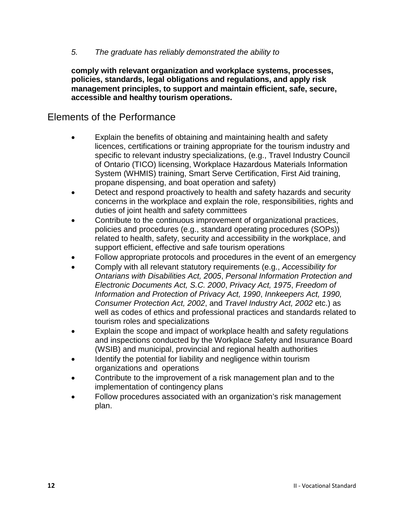**comply with relevant organization and workplace systems, processes, policies, standards, legal obligations and regulations, and apply risk management principles, to support and maintain efficient, safe, secure, accessible and healthy tourism operations.**

- Explain the benefits of obtaining and maintaining health and safety licences, certifications or training appropriate for the tourism industry and specific to relevant industry specializations, (e.g., Travel Industry Council of Ontario (TICO) licensing, Workplace Hazardous Materials Information System (WHMIS) training, Smart Serve Certification, First Aid training, propane dispensing, and boat operation and safety)
- Detect and respond proactively to health and safety hazards and security concerns in the workplace and explain the role, responsibilities, rights and duties of joint health and safety committees
- Contribute to the continuous improvement of organizational practices, policies and procedures (e.g., standard operating procedures (SOPs)) related to health, safety, security and accessibility in the workplace, and support efficient, effective and safe tourism operations
- Follow appropriate protocols and procedures in the event of an emergency
- Comply with all relevant statutory requirements (e.g., *Accessibility for Ontarians with Disabilities Act, 2005*, *Personal Information Protection and Electronic Documents Act, S.C. 2000*, *Privacy Act, 1975*, *Freedom of Information and Protection of Privacy Act, 1990*, *Innkeepers Act, 1990, Consumer Protection Act, 2002*, and *Travel Industry Act, 2002* etc.) as well as codes of ethics and professional practices and standards related to tourism roles and specializations
- Explain the scope and impact of workplace health and safety regulations and inspections conducted by the Workplace Safety and Insurance Board (WSIB) and municipal, provincial and regional health authorities
- Identify the potential for liability and negligence within tourism organizations and operations
- Contribute to the improvement of a risk management plan and to the implementation of contingency plans
- Follow procedures associated with an organization's risk management plan.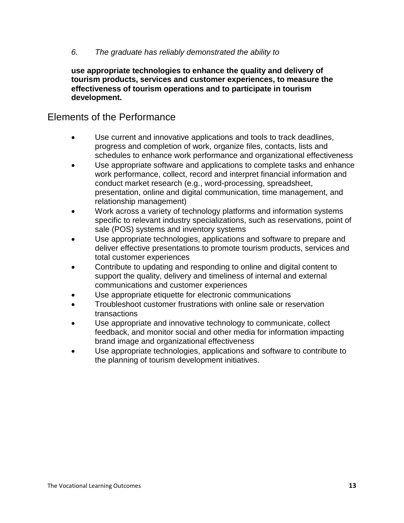**use appropriate technologies to enhance the quality and delivery of tourism products, services and customer experiences, to measure the effectiveness of tourism operations and to participate in tourism development.** 

- Use current and innovative applications and tools to track deadlines, progress and completion of work, organize files, contacts, lists and schedules to enhance work performance and organizational effectiveness
- Use appropriate software and applications to complete tasks and enhance work performance, collect, record and interpret financial information and conduct market research (e.g., word-processing, spreadsheet, presentation, online and digital communication, time management, and relationship management)
- Work across a variety of technology platforms and information systems specific to relevant industry specializations, such as reservations, point of sale (POS) systems and inventory systems
- Use appropriate technologies, applications and software to prepare and deliver effective presentations to promote tourism products, services and total customer experiences
- Contribute to updating and responding to online and digital content to support the quality, delivery and timeliness of internal and external communications and customer experiences
- Use appropriate etiquette for electronic communications
- Troubleshoot customer frustrations with online sale or reservation transactions
- Use appropriate and innovative technology to communicate, collect feedback, and monitor social and other media for information impacting brand image and organizational effectiveness
- Use appropriate technologies, applications and software to contribute to the planning of tourism development initiatives.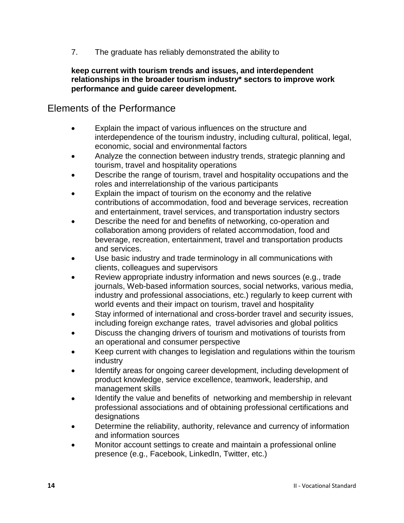#### **keep current with tourism trends and issues, and interdependent relationships in the broader tourism industry\* sectors to improve work performance and guide career development.**

- Explain the impact of various influences on the structure and interdependence of the tourism industry, including cultural, political, legal, economic, social and environmental factors
- Analyze the connection between industry trends, strategic planning and tourism, travel and hospitality operations
- Describe the range of tourism, travel and hospitality occupations and the roles and interrelationship of the various participants
- Explain the impact of tourism on the economy and the relative contributions of accommodation, food and beverage services, recreation and entertainment, travel services, and transportation industry sectors
- Describe the need for and benefits of networking, co-operation and collaboration among providers of related accommodation, food and beverage, recreation, entertainment, travel and transportation products and services.
- Use basic industry and trade terminology in all communications with clients, colleagues and supervisors
- Review appropriate industry information and news sources (e.g., trade journals, Web-based information sources, social networks, various media, industry and professional associations, etc.) regularly to keep current with world events and their impact on tourism, travel and hospitality
- Stay informed of international and cross-border travel and security issues, including foreign exchange rates, travel advisories and global politics
- Discuss the changing drivers of tourism and motivations of tourists from an operational and consumer perspective
- Keep current with changes to legislation and regulations within the tourism industry
- Identify areas for ongoing career development, including development of product knowledge, service excellence, teamwork, leadership, and management skills
- Identify the value and benefits of networking and membership in relevant professional associations and of obtaining professional certifications and designations
- Determine the reliability, authority, relevance and currency of information and information sources
- Monitor account settings to create and maintain a professional online presence (e.g., Facebook, LinkedIn, Twitter, etc.)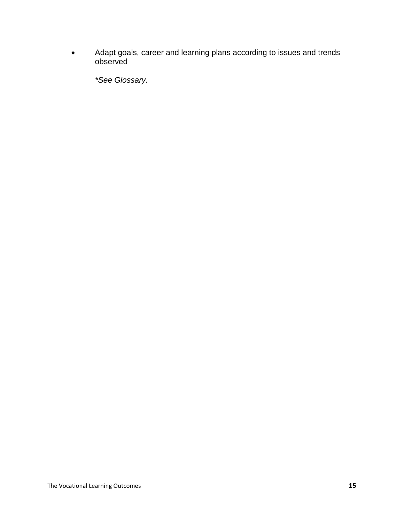• Adapt goals, career and learning plans according to issues and trends observed

*\*See Glossary*.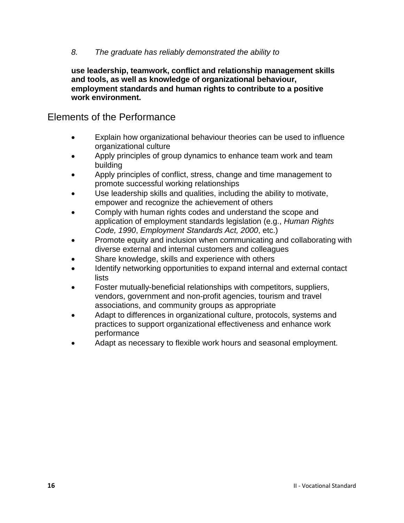**use leadership, teamwork, conflict and relationship management skills and tools, as well as knowledge of organizational behaviour, employment standards and human rights to contribute to a positive work environment.**

- Explain how organizational behaviour theories can be used to influence organizational culture
- Apply principles of group dynamics to enhance team work and team building
- Apply principles of conflict, stress, change and time management to promote successful working relationships
- Use leadership skills and qualities, including the ability to motivate, empower and recognize the achievement of others
- Comply with human rights codes and understand the scope and application of employment standards legislation (e.g., *Human Rights Code, 1990*, *Employment Standards Act, 2000*, etc.)
- Promote equity and inclusion when communicating and collaborating with diverse external and internal customers and colleagues
- Share knowledge, skills and experience with others
- Identify networking opportunities to expand internal and external contact **lists**
- Foster mutually-beneficial relationships with competitors, suppliers, vendors, government and non-profit agencies, tourism and travel associations, and community groups as appropriate
- Adapt to differences in organizational culture, protocols, systems and practices to support organizational effectiveness and enhance work performance
- Adapt as necessary to flexible work hours and seasonal employment.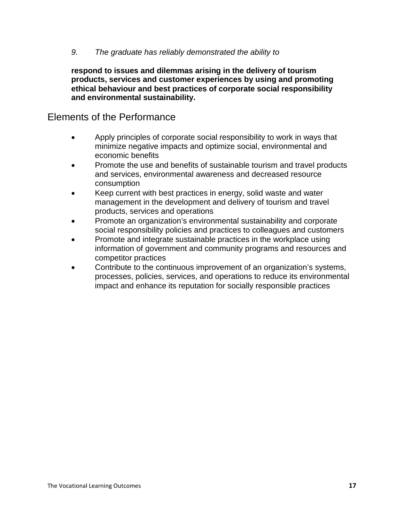**respond to issues and dilemmas arising in the delivery of tourism products, services and customer experiences by using and promoting ethical behaviour and best practices of corporate social responsibility and environmental sustainability.**

- Apply principles of corporate social responsibility to work in ways that minimize negative impacts and optimize social, environmental and economic benefits
- Promote the use and benefits of sustainable tourism and travel products and services, environmental awareness and decreased resource consumption
- Keep current with best practices in energy, solid waste and water management in the development and delivery of tourism and travel products, services and operations
- Promote an organization's environmental sustainability and corporate social responsibility policies and practices to colleagues and customers
- Promote and integrate sustainable practices in the workplace using information of government and community programs and resources and competitor practices
- Contribute to the continuous improvement of an organization's systems, processes, policies, services, and operations to reduce its environmental impact and enhance its reputation for socially responsible practices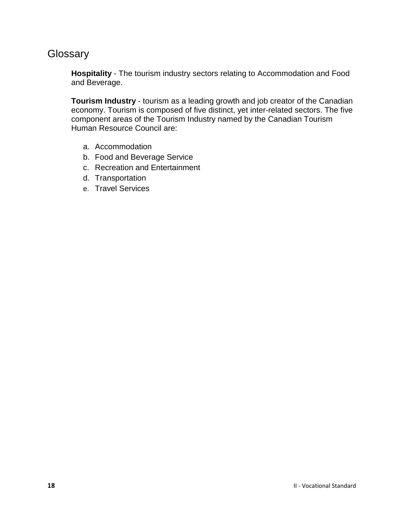## **Glossary**

**Hospitality** - The tourism industry sectors relating to Accommodation and Food and Beverage.

**Tourism Industry** - tourism as a leading growth and job creator of the Canadian economy. Tourism is composed of five distinct, yet inter-related sectors. The five component areas of the Tourism Industry named by the Canadian Tourism Human Resource Council are:

- a. Accommodation
- b. Food and Beverage Service
- c. Recreation and Entertainment
- d. Transportation
- e. Travel Services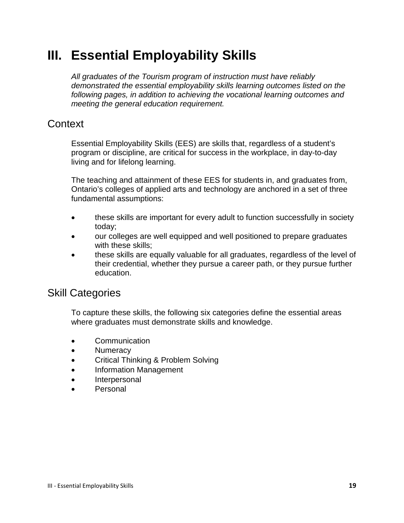# <span id="page-22-0"></span>**III. Essential Employability Skills**

*All graduates of the Tourism program of instruction must have reliably demonstrated the essential employability skills learning outcomes listed on the following pages, in addition to achieving the vocational learning outcomes and meeting the general education requirement.*

# <span id="page-22-1"></span>**Context**

Essential Employability Skills (EES) are skills that, regardless of a student's program or discipline, are critical for success in the workplace, in day-to-day living and for lifelong learning.

The teaching and attainment of these EES for students in, and graduates from, Ontario's colleges of applied arts and technology are anchored in a set of three fundamental assumptions:

- these skills are important for every adult to function successfully in society today;
- our colleges are well equipped and well positioned to prepare graduates with these skills;
- these skills are equally valuable for all graduates, regardless of the level of their credential, whether they pursue a career path, or they pursue further education.

# <span id="page-22-2"></span>Skill Categories

To capture these skills, the following six categories define the essential areas where graduates must demonstrate skills and knowledge.

- Communication
- **Numeracy**
- Critical Thinking & Problem Solving
- Information Management
- $\bullet$ Interpersonal
- Personal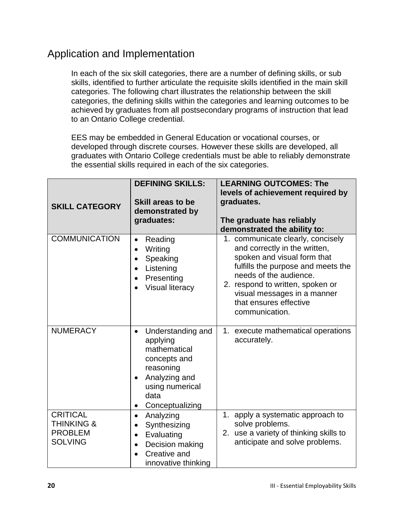# <span id="page-23-0"></span>Application and Implementation

In each of the six skill categories, there are a number of defining skills, or sub skills, identified to further articulate the requisite skills identified in the main skill categories. The following chart illustrates the relationship between the skill categories, the defining skills within the categories and learning outcomes to be achieved by graduates from all postsecondary programs of instruction that lead to an Ontario College credential.

EES may be embedded in General Education or vocational courses, or developed through discrete courses. However these skills are developed, all graduates with Ontario College credentials must be able to reliably demonstrate the essential skills required in each of the six categories.

| <b>SKILL CATEGORY</b>                                                        | <b>DEFINING SKILLS:</b><br>Skill areas to be<br>demonstrated by<br>graduates:                                                                                                    | <b>LEARNING OUTCOMES: The</b><br>levels of achievement required by<br>graduates.<br>The graduate has reliably<br>demonstrated the ability to:                                                                                                                                    |
|------------------------------------------------------------------------------|----------------------------------------------------------------------------------------------------------------------------------------------------------------------------------|----------------------------------------------------------------------------------------------------------------------------------------------------------------------------------------------------------------------------------------------------------------------------------|
| <b>COMMUNICATION</b>                                                         | Reading<br>$\bullet$<br>Writing<br>$\bullet$<br>Speaking<br>$\bullet$<br>Listening<br>$\bullet$<br>Presenting<br>$\bullet$<br><b>Visual literacy</b>                             | 1. communicate clearly, concisely<br>and correctly in the written,<br>spoken and visual form that<br>fulfills the purpose and meets the<br>needs of the audience.<br>2. respond to written, spoken or<br>visual messages in a manner<br>that ensures effective<br>communication. |
| <b>NUMERACY</b>                                                              | Understanding and<br>$\bullet$<br>applying<br>mathematical<br>concepts and<br>reasoning<br>Analyzing and<br>$\bullet$<br>using numerical<br>data<br>Conceptualizing<br>$\bullet$ | 1. execute mathematical operations<br>accurately.                                                                                                                                                                                                                                |
| <b>CRITICAL</b><br><b>THINKING &amp;</b><br><b>PROBLEM</b><br><b>SOLVING</b> | Analyzing<br>$\bullet$<br>Synthesizing<br>$\bullet$<br>Evaluating<br>$\bullet$<br>Decision making<br>$\bullet$<br>Creative and<br>innovative thinking                            | 1. apply a systematic approach to<br>solve problems.<br>2. use a variety of thinking skills to<br>anticipate and solve problems.                                                                                                                                                 |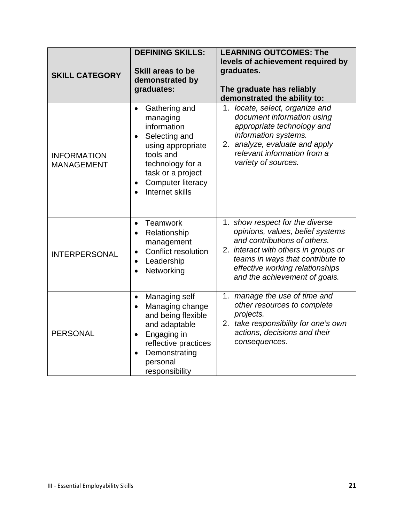| <b>SKILL CATEGORY</b>                   | <b>DEFINING SKILLS:</b><br>Skill areas to be<br>demonstrated by<br>graduates:                                                                                                                                 | <b>LEARNING OUTCOMES: The</b><br>levels of achievement required by<br>graduates.<br>The graduate has reliably<br>demonstrated the ability to:                                                                                                       |
|-----------------------------------------|---------------------------------------------------------------------------------------------------------------------------------------------------------------------------------------------------------------|-----------------------------------------------------------------------------------------------------------------------------------------------------------------------------------------------------------------------------------------------------|
| <b>INFORMATION</b><br><b>MANAGEMENT</b> | Gathering and<br>$\bullet$<br>managing<br>information<br>Selecting and<br>$\bullet$<br>using appropriate<br>tools and<br>technology for a<br>task or a project<br><b>Computer literacy</b><br>Internet skills | 1. locate, select, organize and<br>document information using<br>appropriate technology and<br>information systems.<br>2. analyze, evaluate and apply<br>relevant information from a<br>variety of sources.                                         |
| <b>INTERPERSONAL</b>                    | Teamwork<br>$\bullet$<br>Relationship<br>$\bullet$<br>management<br><b>Conflict resolution</b><br>$\bullet$<br>Leadership<br>$\bullet$<br>Networking<br>$\bullet$                                             | 1. show respect for the diverse<br>opinions, values, belief systems<br>and contributions of others.<br>2. interact with others in groups or<br>teams in ways that contribute to<br>effective working relationships<br>and the achievement of goals. |
| <b>PERSONAL</b>                         | Managing self<br>$\bullet$<br>Managing change<br>and being flexible<br>and adaptable<br>Engaging in<br>$\bullet$<br>reflective practices<br>Demonstrating<br>$\bullet$<br>personal<br>responsibility          | 1. manage the use of time and<br>other resources to complete<br>projects.<br>2. take responsibility for one's own<br>actions, decisions and their<br>consequences.                                                                                  |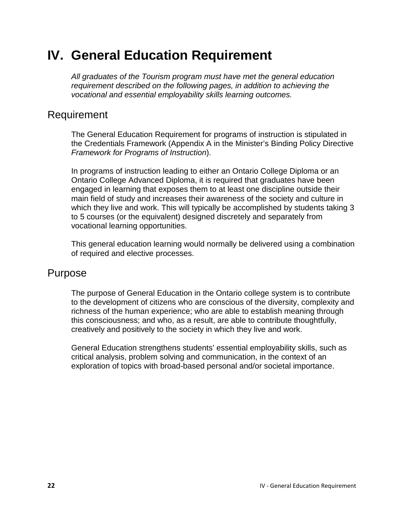# <span id="page-25-0"></span>**IV. General Education Requirement**

*All graduates of the Tourism program must have met the general education requirement described on the following pages, in addition to achieving the vocational and essential employability skills learning outcomes.*

# <span id="page-25-1"></span>Requirement

The General Education Requirement for programs of instruction is stipulated in the Credentials Framework (Appendix A in the Minister's Binding Policy Directive *Framework for Programs of Instruction*).

In programs of instruction leading to either an Ontario College Diploma or an Ontario College Advanced Diploma, it is required that graduates have been engaged in learning that exposes them to at least one discipline outside their main field of study and increases their awareness of the society and culture in which they live and work. This will typically be accomplished by students taking 3 to 5 courses (or the equivalent) designed discretely and separately from vocational learning opportunities.

This general education learning would normally be delivered using a combination of required and elective processes.

### <span id="page-25-2"></span>Purpose

The purpose of General Education in the Ontario college system is to contribute to the development of citizens who are conscious of the diversity, complexity and richness of the human experience; who are able to establish meaning through this consciousness; and who, as a result, are able to contribute thoughtfully, creatively and positively to the society in which they live and work.

General Education strengthens students' essential employability skills, such as critical analysis, problem solving and communication, in the context of an exploration of topics with broad-based personal and/or societal importance.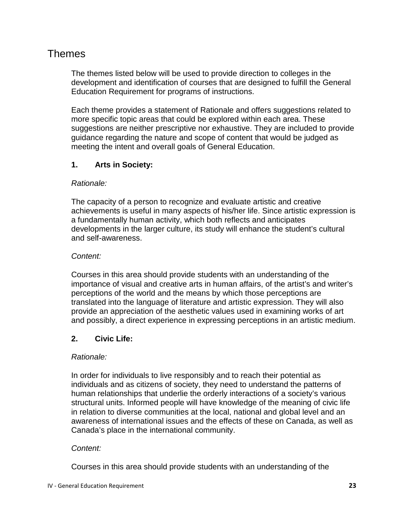## <span id="page-26-0"></span>Themes

The themes listed below will be used to provide direction to colleges in the development and identification of courses that are designed to fulfill the General Education Requirement for programs of instructions.

Each theme provides a statement of Rationale and offers suggestions related to more specific topic areas that could be explored within each area. These suggestions are neither prescriptive nor exhaustive. They are included to provide guidance regarding the nature and scope of content that would be judged as meeting the intent and overall goals of General Education.

#### **1. Arts in Society:**

#### *Rationale:*

The capacity of a person to recognize and evaluate artistic and creative achievements is useful in many aspects of his/her life. Since artistic expression is a fundamentally human activity, which both reflects and anticipates developments in the larger culture, its study will enhance the student's cultural and self-awareness.

#### *Content:*

Courses in this area should provide students with an understanding of the importance of visual and creative arts in human affairs, of the artist's and writer's perceptions of the world and the means by which those perceptions are translated into the language of literature and artistic expression. They will also provide an appreciation of the aesthetic values used in examining works of art and possibly, a direct experience in expressing perceptions in an artistic medium.

#### **2. Civic Life:**

#### *Rationale:*

In order for individuals to live responsibly and to reach their potential as individuals and as citizens of society, they need to understand the patterns of human relationships that underlie the orderly interactions of a society's various structural units. Informed people will have knowledge of the meaning of civic life in relation to diverse communities at the local, national and global level and an awareness of international issues and the effects of these on Canada, as well as Canada's place in the international community.

#### *Content:*

Courses in this area should provide students with an understanding of the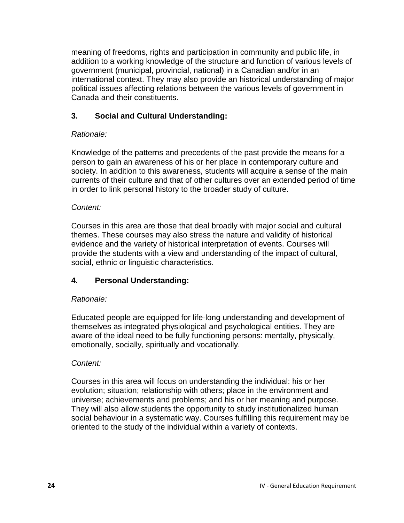meaning of freedoms, rights and participation in community and public life, in addition to a working knowledge of the structure and function of various levels of government (municipal, provincial, national) in a Canadian and/or in an international context. They may also provide an historical understanding of major political issues affecting relations between the various levels of government in Canada and their constituents.

#### **3. Social and Cultural Understanding:**

#### *Rationale:*

Knowledge of the patterns and precedents of the past provide the means for a person to gain an awareness of his or her place in contemporary culture and society. In addition to this awareness, students will acquire a sense of the main currents of their culture and that of other cultures over an extended period of time in order to link personal history to the broader study of culture.

#### *Content:*

Courses in this area are those that deal broadly with major social and cultural themes. These courses may also stress the nature and validity of historical evidence and the variety of historical interpretation of events. Courses will provide the students with a view and understanding of the impact of cultural, social, ethnic or linguistic characteristics.

#### **4. Personal Understanding:**

#### *Rationale:*

Educated people are equipped for life-long understanding and development of themselves as integrated physiological and psychological entities. They are aware of the ideal need to be fully functioning persons: mentally, physically, emotionally, socially, spiritually and vocationally.

#### *Content:*

Courses in this area will focus on understanding the individual: his or her evolution; situation; relationship with others; place in the environment and universe; achievements and problems; and his or her meaning and purpose. They will also allow students the opportunity to study institutionalized human social behaviour in a systematic way. Courses fulfilling this requirement may be oriented to the study of the individual within a variety of contexts.